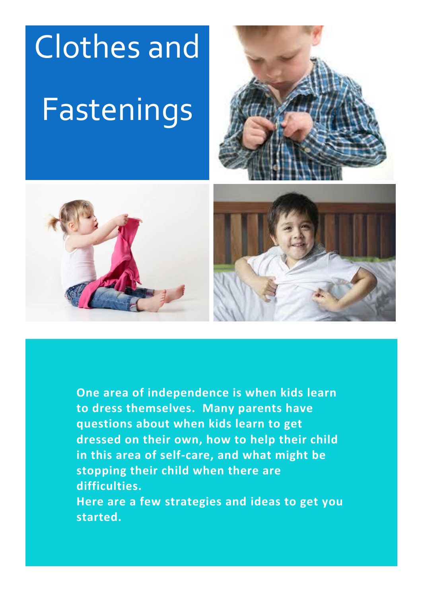







**One area of independence is when kids learn to dress themselves. Many parents have questions about when kids learn to get dressed on their own, how to help their child in this area of self-care, and what might be stopping their child when there are difficulties.**

**Here are a few strategies and ideas to get you started.**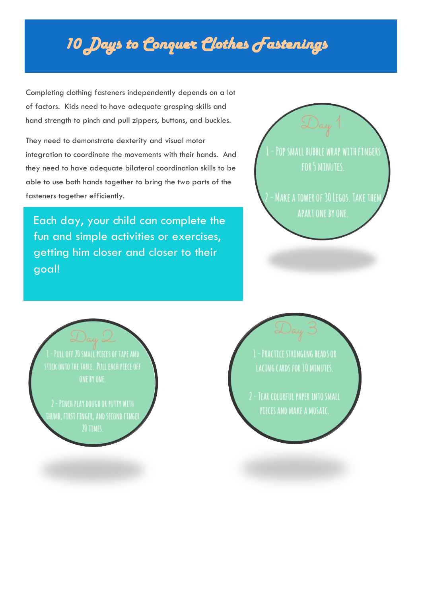# *10 Days to Conquer Clothes Fastenings*

Completing clothing fasteners independently depends on a lot of factors. Kids need to have adequate grasping skills and hand strength to pinch and pull zippers, buttons, and buckles.

They need to demonstrate dexterity and visual motor integration to coordinate the movements with their hands. And they need to have adequate bilateral coordination skills to be able to use both hands together to bring the two parts of the fasteners together efficiently.

Each day, your child can complete the fun and simple activities or exercises, getting him closer and closer to their goal!



- PULL OFF 20 SMALL PIECES OF TAPE AND STICK ONTO THE TABLE. PULL EACH PIECE OFF ONE BY ONE.

**IHUMB, FIRST FINGER, AND SECOND FINGER** 

**- PRACTICE STRINGING BEADS OR LACING CARDS FOR 10 MINUTES.** 

PIECES AND MAKE A MOSAIC.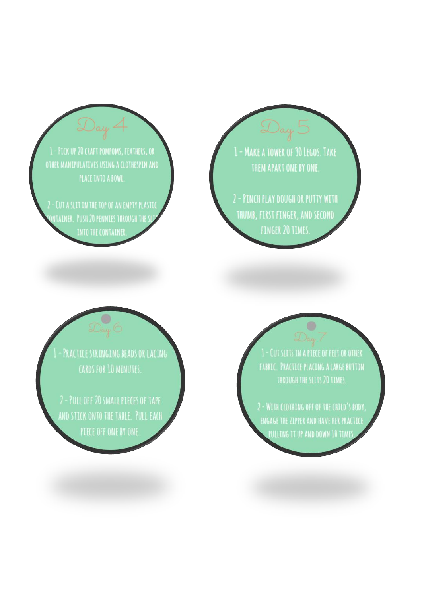1 - PICK UP 20 CRAFT POMPOMS, FEATHERS, OR OTHER MANIPULATIVES USING A CLOTHESPIN AND PLACE INTO A BOWL.

2 - CUT A SLIT IN THE TOP OF AN EMPTY PLASTIC NTAINER. PUSH 20 PENNIES THROUGH THE SL

1 - MAKE A TOWER OF 30 LEGOS. TAKE THEM APART ONE BY ONE.

2 - PINCH PLAY DOUGH OR PUTTY WITH THUMB, FIRST FINGER, AND SECOND **FINGER 20 TIMES:** 

PRACTICE STRINGING BEADS OR LACING CARDS FOR 10 MINUTES.

AND STICK ONTO THE TABLE. PULL EACH

1 - CUT SLITS IN A PIECE OF FELT OR OTHER **FABRIC. PRACTICE PLACING A LARGE BUTTON** THROUGH THE SLITS 20 TIMES.

ENGAGE THE ZIPPER AND HAVE HER PRACTICE .<br>Pulling it up and down 10 time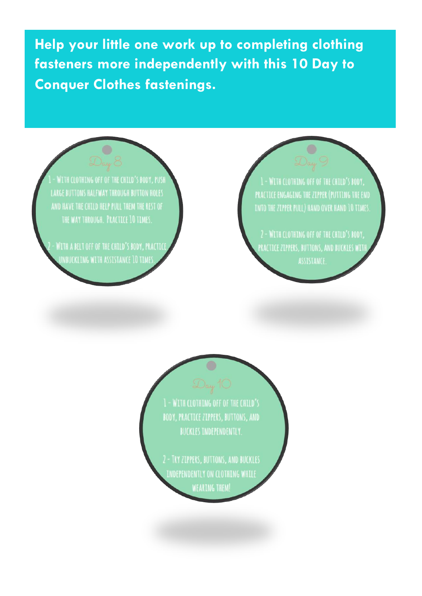Help your little one work up to completing clothing fasteners more independently with this 10 Day to **Conquer Clothes fastenings.** 



WITH A BELT OFF OF THE CHILD'S BODY, PRACTICE **INBUCKLING WITH ASSISTANCE 10 TIMES** 

PRACTICE ENGAGING THE ZIPPER (PUTTING THE END **INTO THE ZIPPER PULL) HAND OVER HAND 10 TIMES.** 

.<br>PRACTICE ZIPPERS, BUTTONS, AND BUCKLES WITH ASSISTANCE.

1 - WITH CLOTHING OFF OF THE CHILD'S BODY, PRACTICE ZIPPERS, BUTTONS, AND **BUCKLES INDEPENDENTLY.** 

2 - TRY ZIPPERS, BUTTONS, AND BUCKLES INDEPENDENTLY ON CLOTHING WHILE **WEARING THEM!**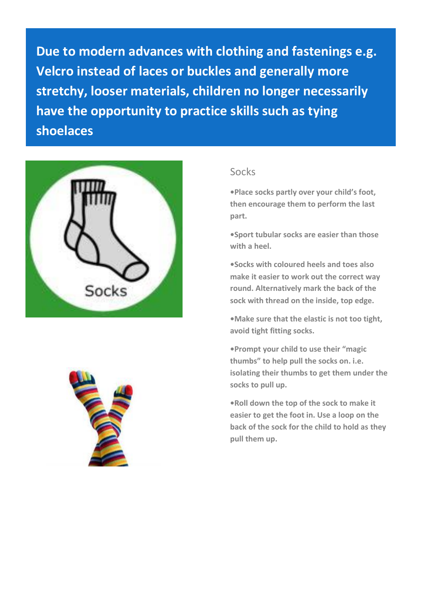**Due to modern advances with clothing and fastenings e.g. Velcro instead of laces or buckles and generally more stretchy, looser materials, children no longer necessarily have the opportunity to practice skills such as tying shoelaces**



i

## Socks

**•Place socks partly over your child's foot, then encourage them to perform the last part.**

**•Sport tubular socks are easier than those with a heel.**

**•Socks with coloured heels and toes also make it easier to work out the correct way round. Alternatively mark the back of the sock with thread on the inside, top edge.**

**•Make sure that the elastic is not too tight, avoid tight fitting socks.**

**•Prompt your child to use their "magic thumbs" to help pull the socks on. i.e. isolating their thumbs to get them under the socks to pull up.**

**•Roll down the top of the sock to make it easier to get the foot in. Use a loop on the back of the sock for the child to hold as they pull them up.**

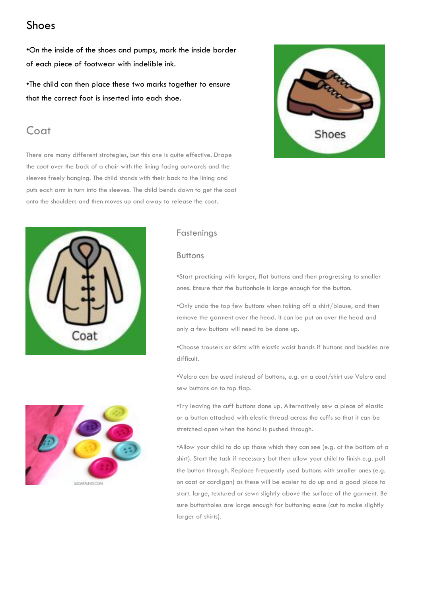## Shoes

•On the inside of the shoes and pumps, mark the inside border of each piece of footwear with indelible ink.

•The child can then place these two marks together to ensure that the correct foot is inserted into each shoe.

## Coat

There are many different strategies, but this one is quite effective. Drape the coat over the back of a chair with the lining facing outwards and the sleeves freely hanging. The child stands with their back to the lining and puts each arm in turn into the sleeves. The child bends down to get the coat onto the shoulders and then moves up and away to release the coat.





### Fastenings

### Buttons

•Start practicing with larger, flat buttons and then progressing to smaller ones. Ensure that the buttonhole is large enough for the button.

•Only undo the top few buttons when taking off a shirt/blouse, and then remove the garment over the head. It can be put on over the head and only a few buttons will need to be done up.

•Choose trousers or skirts with elastic waist bands if buttons and buckles are difficult.

•Velcro can be used instead of buttons, e.g. on a coat/shirt use Velcro and sew buttons on to top flap.

•Try leaving the cuff buttons done up. Alternatively sew a piece of elastic or a button attached with elastic thread across the cuffs so that it can be stretched open when the hand is pushed through.

•Allow your child to do up those which they can see (e.g. at the bottom of a shirt). Start the task if necessary but then allow your child to finish e.g. pull the button through. Replace frequently used buttons with smaller ones (e.g. on coat or cardigan) as these will be easier to do up and a good place to start. large, textured or sewn slightly above the surface of the garment. Be sure buttonholes are large enough for buttoning ease (cut to make slightly larger of shirts).

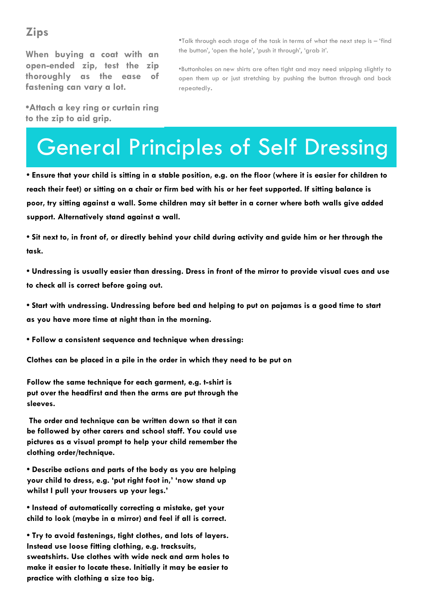## **Zips**

**When buying a coat with an open-ended zip, test the zip thoroughly as the ease of fastening can vary a lot.**

**•Attach a key ring or curtain ring to the zip to aid grip.**

•Talk through each stage of the task in terms of what the next step is – 'find the button', 'open the hole', 'push it through', 'grab it'.

•Buttonholes on new shirts are often tight and may need snipping slightly to open them up or just stretching by pushing the button through and back repeatedly.

# General Principles of Self Dressing

**• Ensure that your child is sitting in a stable position, e.g. on the floor (where it is easier for children to reach their feet) or sitting on a chair or firm bed with his or her feet supported. If sitting balance is poor, try sitting against a wall. Some children may sit better in a corner where both walls give added support. Alternatively stand against a wall.**

**• Sit next to, in front of, or directly behind your child during activity and guide him or her through the task.**

**• Undressing is usually easier than dressing. Dress in front of the mirror to provide visual cues and use to check all is correct before going out.**

**• Start with undressing. Undressing before bed and helping to put on pajamas is a good time to start as you have more time at night than in the morning.**

**• Follow a consistent sequence and technique when dressing:**

**Clothes can be placed in a pile in the order in which they need to be put on**

**Follow the same technique for each garment, e.g. t-shirt is put over the headfirst and then the arms are put through the sleeves.**

**The order and technique can be written down so that it can be followed by other carers and school staff. You could use pictures as a visual prompt to help your child remember the clothing order/technique.**

**• Describe actions and parts of the body as you are helping your child to dress, e.g. 'put right foot in,' 'now stand up whilst I pull your trousers up your legs.'**

**• Instead of automatically correcting a mistake, get your child to look (maybe in a mirror) and feel if all is correct.** 

**• Try to avoid fastenings, tight clothes, and lots of layers. Instead use loose fitting clothing, e.g. tracksuits, sweatshirts. Use clothes with wide neck and arm holes to make it easier to locate these. Initially it may be easier to practice with clothing a size too big.**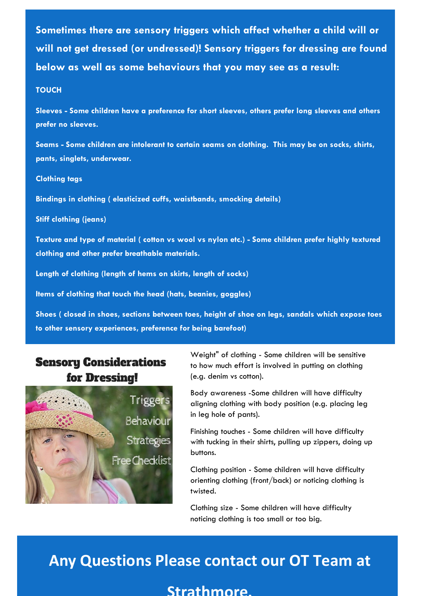**Sometimes there are sensory triggers which affect whether a child will or will not get dressed (or undressed)! Sensory triggers for dressing are found below as well as some behaviours that you may see as a result:**

### **TOUCH**

**Sleeves - Some children have a preference for short sleeves, others prefer long sleeves and others prefer no sleeves.**

**Seams - Some children are intolerant to certain seams on clothing. This may be on socks, shirts, pants, singlets, underwear.**

#### **Clothing tags**

**Bindings in clothing ( elasticized cuffs, waistbands, smocking details)**

**Stiff clothing (jeans)**

**Texture and type of material ( cotton vs wool vs nylon etc.) - Some children prefer highly textured clothing and other prefer breathable materials.** 

**Length of clothing (length of hems on skirts, length of socks)**

**Items of clothing that touch the head (hats, beanies, goggles)**

**Shoes ( closed in shoes, sections between toes, height of shoe on legs, sandals which expose toes to other sensory experiences, preference for being barefoot)**

## **Sensory Considerations for Dressing!**



**New clothes - Some children prefer new clothes to be washed a few times in familiar detergent**  Weight" of clothing - Some children will be sensitive to how much effort is involved in putting on clothing (e.g. denim vs cotton).

**Tiggers** aligning clothing with body position (e.g. placing leg Body awareness -Some children will have difficulty in leg hole of pants).

> Finishing touches - Some children will have difficulty with tucking in their shirts, pulling up zippers, doing up buttons.

Clothing position - Some children will have difficulty orienting clothing (front/back) or noticing clothing is twisted.

Clothing size - Some children will have difficulty noticing clothing is too small or too big.

## **Any Questions Please contact our OT Team at**

### **Strathmore.**